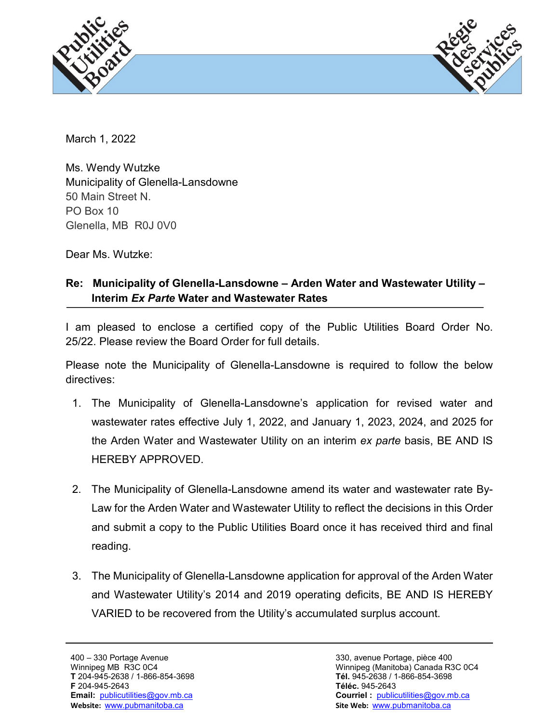



March 1, 2022

Ms. Wendy Wutzke Municipality of Glenella-Lansdowne 50 Main Street N. PO Box 10 Glenella, MB R0J 0V0

Dear Ms. Wutzke:

## **Re: Municipality of Glenella-Lansdowne – Arden Water and Wastewater Utility – Interim** *Ex Parte* **Water and Wastewater Rates**

I am pleased to enclose a certified copy of the Public Utilities Board Order No. 25/22. Please review the Board Order for full details.

Please note the Municipality of Glenella-Lansdowne is required to follow the below directives:

- 1. The Municipality of Glenella-Lansdowne's application for revised water and wastewater rates effective July 1, 2022, and January 1, 2023, 2024, and 2025 for the Arden Water and Wastewater Utility on an interim *ex parte* basis, BE AND IS HEREBY APPROVED.
- 2. The Municipality of Glenella-Lansdowne amend its water and wastewater rate By-Law for the Arden Water and Wastewater Utility to reflect the decisions in this Order and submit a copy to the Public Utilities Board once it has received third and final reading.
- 3. The Municipality of Glenella-Lansdowne application for approval of the Arden Water and Wastewater Utility's 2014 and 2019 operating deficits, BE AND IS HEREBY VARIED to be recovered from the Utility's accumulated surplus account.